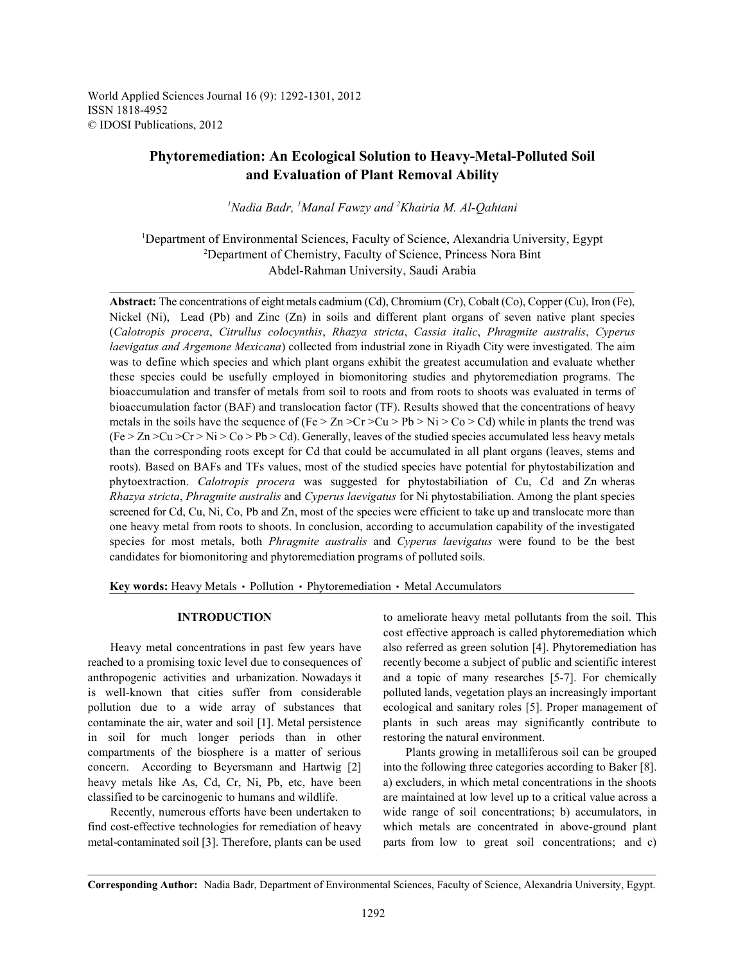World Applied Sciences Journal 16 (9): 1292-1301, 2012 ISSN 1818-4952 © IDOSI Publications, 2012

# **Phytoremediation: An Ecological Solution to Heavy-Metal-Polluted Soil and Evaluation of Plant Removal Ability**

<sup>1</sup>Nadia Badr, <sup>1</sup>Manal Fawzy and <sup>2</sup>Khairia M. Al-Qahtani

<sup>1</sup>Department of Environmental Sciences, Faculty of Science, Alexandria University, Egypt <sup>2</sup>Department of Chemistry, Faculty of Science, Princess Nora Bint Abdel-Rahman University, Saudi Arabia

Abstract: The concentrations of eight metals cadmium (Cd), Chromium (Cr), Cobalt (Co), Copper (Cu), Iron (Fe), Nickel (Ni), Lead (Pb) and Zinc (Zn) in soils and different plant organs of seven native plant species (*Calotropis procera*, *Citrullus colocynthis*, *Rhazya stricta*, *Cassia italic*, *Phragmite australis*, *Cyperus laevigatus and Argemone Mexicana*) collected from industrial zone in Riyadh City were investigated. The aim was to define which species and which plant organs exhibit the greatest accumulation and evaluate whether these species could be usefully employed in biomonitoring studies and phytoremediation programs. The bioaccumulation and transfer of metals from soil to roots and from roots to shoots was evaluated in terms of bioaccumulation factor (BAF) and translocation factor (TF). Results showed that the concentrations of heavy metals in the soils have the sequence of (Fe  $> \text{Zn} > Cr > \text{Cu} > \text{Pb} > \text{Ni} > \text{Co} > \text{Cd}$ ) while in plants the trend was  $(Fe > Zn > Cu > Cr > Ni > Co > Pb > Cd)$ . Generally, leaves of the studied species accumulated less heavy metals than the corresponding roots except for Cd that could be accumulated in all plant organs (leaves, stems and roots). Based on BAFs and TFs values, most of the studied species have potential for phytostabilization and phytoextraction. *Calotropis procera* was suggested for phytostabiliation of Cu, Cd and Zn wheras *Rhazya stricta*, *Phragmite australis* and *Cyperus laevigatus* for Ni phytostabiliation. Among the plant species screened for Cd, Cu, Ni, Co, Pb and Zn, most of the species were efficient to take up and translocate more than one heavy metal from roots to shoots. In conclusion, according to accumulation capability of the investigated species for most metals, both *Phragmite australis* and *Cyperus laevigatus* were found to be the best candidates for biomonitoring and phytoremediation programs of polluted soils.

Key words: Heavy Metals · Pollution · Phytoremediation · Metal Accumulators

reached to a promising toxic level due to consequences of recently become a subject of public and scientific interest anthropogenic activities and urbanization. Nowadays it and a topic of many researches [5-7]. For chemically is well-known that cities suffer from considerable polluted lands, vegetation plays an increasingly important pollution due to a wide array of substances that ecological and sanitary roles [5]. Proper management of contaminate the air, water and soil [1]. Metal persistence plants in such areas may significantly contribute to in soil for much longer periods than in other restoring the natural environment. compartments of the biosphere is a matter of serious Plants growing in metalliferous soil can be grouped concern. According to Beyersmann and Hartwig [2] into the following three categories according to Baker [8]. heavy metals like As, Cd, Cr, Ni, Pb, etc, have been a) excluders, in which metal concentrations in the shoots classified to be carcinogenic to humans and wildlife. are maintained at low level up to a critical value across a

find cost-effective technologies for remediation of heavy which metals are concentrated in above-ground plant metal-contaminated soil [3]. Therefore, plants can be used parts from low to great soil concentrations; and c)

**INTRODUCTION** to ameliorate heavy metal pollutants from the soil. This Heavy metal concentrations in past few years have also referred as green solution [4]. Phytoremediation has cost effective approach is called phytoremediation which

Recently, numerous efforts have been undertaken to wide range of soil concentrations; b) accumulators, in

**Corresponding Author:** Nadia Badr, Department of Environmental Sciences, Faculty of Science, Alexandria University, Egypt.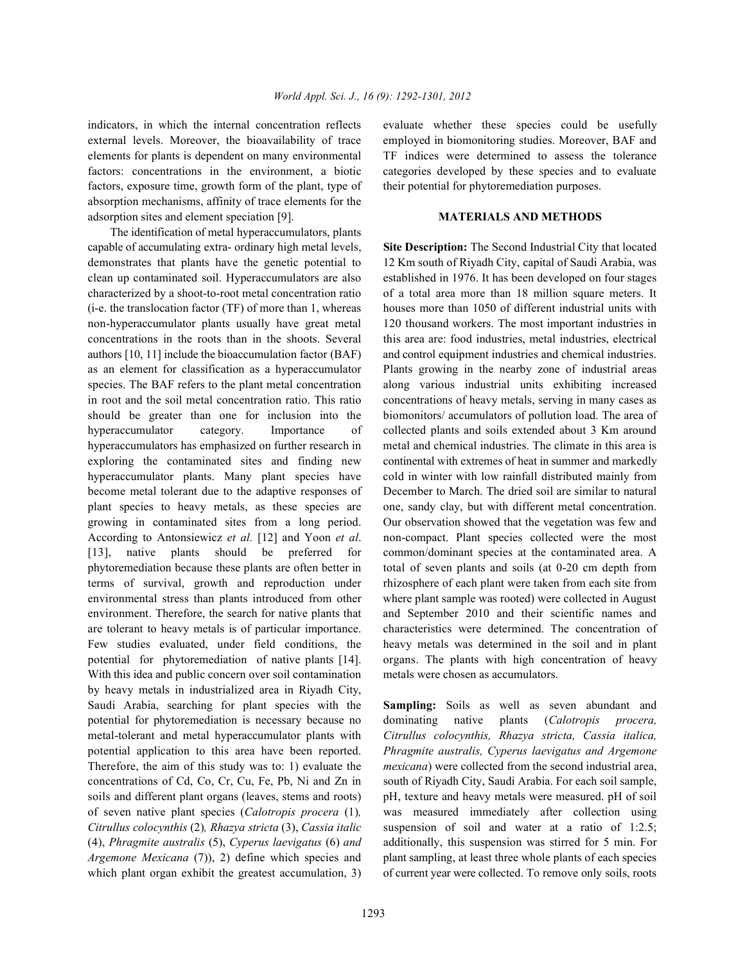external levels. Moreover, the bioavailability of trace employed in biomonitoring studies. Moreover, BAF and elements for plants is dependent on many environmental TF indices were determined to assess the tolerance factors: concentrations in the environment, a biotic categories developed by these species and to evaluate factors, exposure time, growth form of the plant, type of their potential for phytoremediation purposes. absorption mechanisms, affinity of trace elements for the adsorption sites and element speciation [9]. **MATERIALS AND METHODS**

The identification of metal hyperaccumulators, plants capable of accumulating extra- ordinary high metal levels, **Site Description:** The Second Industrial City that located demonstrates that plants have the genetic potential to 12 Km south of Riyadh City, capital of Saudi Arabia, was clean up contaminated soil. Hyperaccumulators are also established in 1976. It has been developed on four stages characterized by a shoot-to-root metal concentration ratio of a total area more than 18 million square meters. It (i-e. the translocation factor (TF) of more than 1, whereas houses more than 1050 of different industrial units with non-hyperaccumulator plants usually have great metal 120 thousand workers. The most important industries in concentrations in the roots than in the shoots. Several this area are: food industries, metal industries, electrical authors [10, 11] include the bioaccumulation factor (BAF) and control equipment industries and chemical industries. as an element for classification as a hyperaccumulator Plants growing in the nearby zone of industrial areas species. The BAF refers to the plant metal concentration along various industrial units exhibiting increased in root and the soil metal concentration ratio. This ratio concentrations of heavy metals, serving in many cases as should be greater than one for inclusion into the biomonitors/ accumulators of pollution load. The area of hyperaccumulator category. Importance of collected plants and soils extended about 3 Km around hyperaccumulators has emphasized on further research in metal and chemical industries. The climate in this area is exploring the contaminated sites and finding new continental with extremes of heat in summer and markedly hyperaccumulator plants. Many plant species have cold in winter with low rainfall distributed mainly from become metal tolerant due to the adaptive responses of December to March. The dried soil are similar to natural plant species to heavy metals, as these species are one, sandy clay, but with different metal concentration. growing in contaminated sites from a long period. Our observation showed that the vegetation was few and According to Antonsiewicz *et al.* [12] and Yoon *et al*. non-compact. Plant species collected were the most [13], native plants should be preferred for common/dominant species at the contaminated area. A phytoremediation because these plants are often better in total of seven plants and soils (at 0-20 cm depth from terms of survival, growth and reproduction under rhizosphere of each plant were taken from each site from environmental stress than plants introduced from other where plant sample was rooted) were collected in August environment. Therefore, the search for native plants that and September 2010 and their scientific names and are tolerant to heavy metals is of particular importance. characteristics were determined. The concentration of Few studies evaluated, under field conditions, the heavy metals was determined in the soil and in plant potential for phytoremediation of native plants [14]. organs. The plants with high concentration of heavy With this idea and public concern over soil contamination metals were chosen as accumulators. by heavy metals in industrialized area in Riyadh City, Saudi Arabia, searching for plant species with the **Sampling:** Soils as well as seven abundant and potential for phytoremediation is necessary because no dominating native plants (*Calotropis procera,* metal-tolerant and metal hyperaccumulator plants with *Citrullus colocynthis, Rhazya stricta, Cassia italica,* potential application to this area have been reported. *Phragmite australis, Cyperus laevigatus and Argemone* Therefore, the aim of this study was to: 1) evaluate the *mexicana*) were collected from the second industrial area, concentrations of Cd, Co, Cr, Cu, Fe, Pb, Ni and Zn in south of Riyadh City, Saudi Arabia. For each soil sample, soils and different plant organs (leaves, stems and roots) pH, texture and heavy metals were measured. pH of soil of seven native plant species (*Calotropis procera* (1)*,* was measured immediately after collection using *Citrullus colocynthis* (2)*, Rhazya stricta* (3), *Cassia italic* suspension of soil and water at a ratio of 1:2.5; (4), *Phragmite australis* (5), *Cyperus laevigatus* (6) *and* additionally, this suspension was stirred for 5 min. For *Argemone Mexicana* (7), 2) define which species and plant sampling, at least three whole plants of each species which plant organ exhibit the greatest accumulation, 3) of current year were collected. To remove only soils, roots

indicators, in which the internal concentration reflects evaluate whether these species could be usefully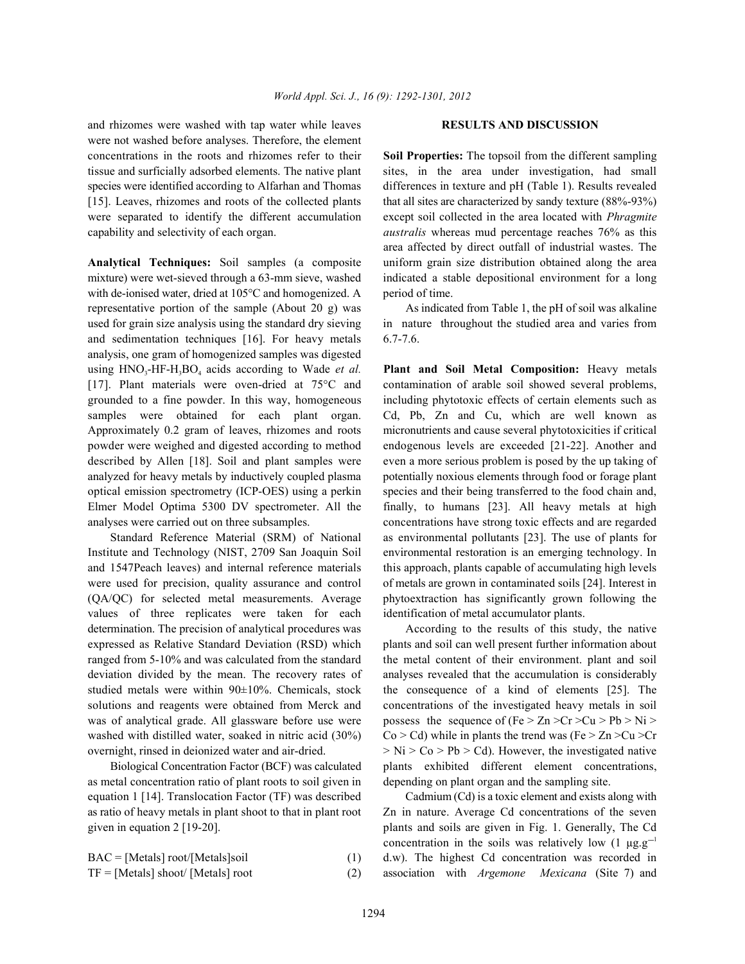and rhizomes were washed with tap water while leaves **RESULTS AND DISCUSSION** were not washed before analyses. Therefore, the element concentrations in the roots and rhizomes refer to their **Soil Properties:** The topsoil from the different sampling tissue and surficially adsorbed elements. The native plant sites, in the area under investigation, had small species were identified according to Alfarhan and Thomas differences in texture and pH (Table 1). Results revealed [15]. Leaves, rhizomes and roots of the collected plants that all sites are characterized by sandy texture (88%-93%) were separated to identify the different accumulation except soil collected in the area located with *Phragmite* capability and selectivity of each organ. *australis* whereas mud percentage reaches 76% as this

mixture) were wet-sieved through a 63-mm sieve, washed indicated a stable depositional environment for a long with de-ionised water, dried at 105°C and homogenized. A period of time. representative portion of the sample (About 20 g) was As indicated from Table 1, the pH of soil was alkaline used for grain size analysis using the standard dry sieving in nature throughout the studied area and varies from and sedimentation techniques [16]. For heavy metals 6.7-7.6. analysis, one gram of homogenized samples was digested using HNO<sub>3</sub>-HF-H<sub>3</sub>BO<sub>4</sub> acids according to Wade *et al.* **Plant and Soil Metal Composition:** Heavy metals [17]. Plant materials were oven-dried at 75°C and contamination of arable soil showed several problems, grounded to a fine powder. In this way, homogeneous including phytotoxic effects of certain elements such as samples were obtained for each plant organ. Cd, Pb, Zn and Cu, which are well known as Approximately 0.2 gram of leaves, rhizomes and roots micronutrients and cause several phytotoxicities if critical powder were weighed and digested according to method endogenous levels are exceeded [21-22]. Another and described by Allen [18]. Soil and plant samples were even a more serious problem is posed by the up taking of analyzed for heavy metals by inductively coupled plasma potentially noxious elements through food or forage plant optical emission spectrometry (ICP-OES) using a perkin species and their being transferred to the food chain and, Elmer Model Optima 5300 DV spectrometer. All the finally, to humans [23]. All heavy metals at high analyses were carried out on three subsamples. concentrations have strong toxic effects and are regarded

Institute and Technology (NIST, 2709 San Joaquin Soil environmental restoration is an emerging technology. In and 1547Peach leaves) and internal reference materials this approach, plants capable of accumulating high levels were used for precision, quality assurance and control of metals are grown in contaminated soils [24]. Interest in (QA/QC) for selected metal measurements. Average phytoextraction has significantly grown following the values of three replicates were taken for each identification of metal accumulator plants. determination. The precision of analytical procedures was According to the results of this study, the native expressed as Relative Standard Deviation (RSD) which plants and soil can well present further information about ranged from 5-10% and was calculated from the standard the metal content of their environment. plant and soil deviation divided by the mean. The recovery rates of analyses revealed that the accumulation is considerably studied metals were within 90±10%. Chemicals, stock the consequence of a kind of elements [25]. The solutions and reagents were obtained from Merck and concentrations of the investigated heavy metals in soil was of analytical grade. All glassware before use were possess the sequence of  $(Fe > Zn > Cr > Cu > Pb > Ni >$ washed with distilled water, soaked in nitric acid (30%) Co > Cd) while in plants the trend was (Fe > Zn > Cu > Cr

as metal concentration ratio of plant roots to soil given in depending on plant organ and the sampling site. equation 1 [14]. Translocation Factor (TF) was described Cadmium (Cd) is a toxic element and exists along with as ratio of heavy metals in plant shoot to that in plant root Zn in nature. Average Cd concentrations of the seven given in equation 2 [19-20]. plants and soils are given in Fig. 1. Generally, The Cd

**Analytical Techniques:** Soil samples (a composite uniform grain size distribution obtained along the area area affected by direct outfall of industrial wastes. The

Standard Reference Material (SRM) of National as environmental pollutants [23]. The use of plants for

overnight, rinsed in deionized water and air-dried.  $> Ni > Co > Pb > Cd$ ). However, the investigated native Biological Concentration Factor (BCF) was calculated plants exhibited different element concentrations,

 $BAC = [Metals] root/[Metals] soi$  (1) d.w). The highest Cd concentration was recorded in TF = [Metals] shoot/ [Metals] root (2) association with *Argemone Mexicana* (Site 7) and concentration in the soils was relatively low  $(1 \mu g.g^{-1})$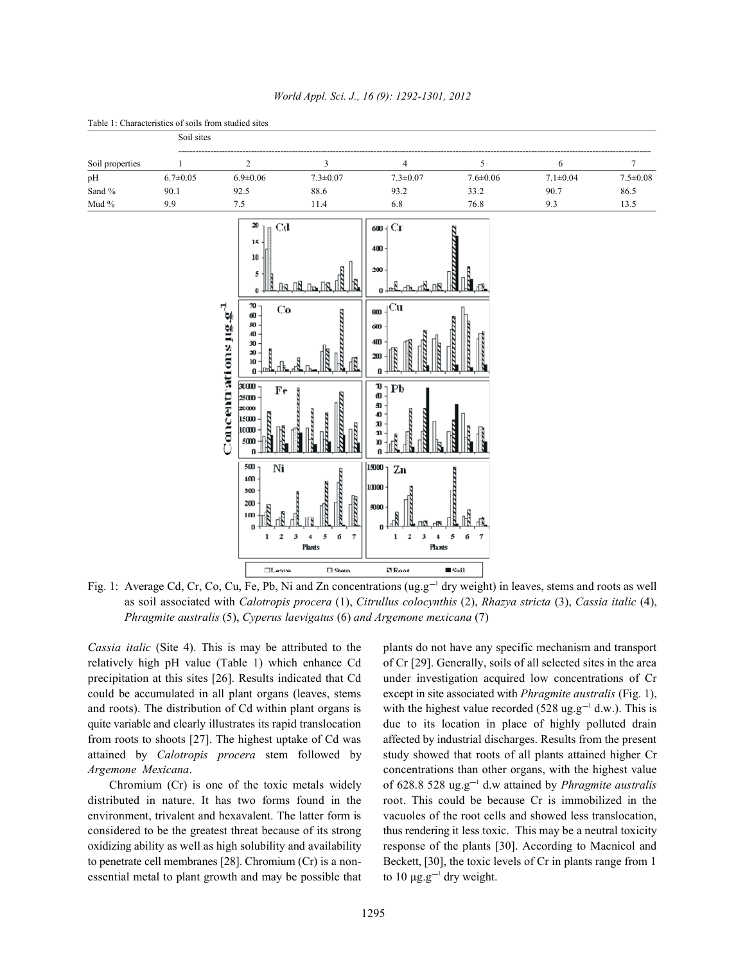

## *World Appl. Sci. J., 16 (9): 1292-1301, 2012*

Fig. 1: Average Cd, Cr, Co, Cu, Fe, Pb, Ni and Zn concentrations (ug.g<sup>-1</sup> dry weight) in leaves, stems and roots as well as soil associated with *Calotropis procera* (1), *Citrullus colocynthis* (2), *Rhazya stricta* (3), *Cassia italic* (4), *Phragmite australis* (5), *Cyperus laevigatus* (6) *and Argemone mexicana* (7)

relatively high pH value (Table 1) which enhance Cd of Cr [29]. Generally, soils of all selected sites in the area precipitation at this sites [26]. Results indicated that Cd under investigation acquired low concentrations of Cr could be accumulated in all plant organs (leaves, stems except in site associated with *Phragmite australis* (Fig. 1), and roots). The distribution of Cd within plant organs is with the highest value recorded (528 ug.g<sup>-1</sup> d.w.). This is quite variable and clearly illustrates its rapid translocation due to its location in place of highly polluted drain from roots to shoots [27]. The highest uptake of Cd was affected by industrial discharges. Results from the present attained by *Calotropis procera* stem followed by study showed that roots of all plants attained higher Cr *Argemone Mexicana*. concentrations than other organs, with the highest value

to penetrate cell membranes [28]. Chromium (Cr) is a non- Beckett, [30], the toxic levels of Cr in plants range from 1 essential metal to plant growth and may be possible that

*Cassia italic* (Site 4). This is may be attributed to the plants do not have any specific mechanism and transport Chromium (Cr) is one of the toxic metals widely of  $628.8528$  ug.g<sup>-1</sup> d.w attained by *Phragmite australis* distributed in nature. It has two forms found in the root. This could be because Cr is immobilized in the environment, trivalent and hexavalent. The latter form is vacuoles of the root cells and showed less translocation, considered to be the greatest threat because of its strong thus rendering it less toxic. This may be a neutral toxicity oxidizing ability as well as high solubility and availability response of the plants [30]. According to Macnicol and to 10  $\mu$ g.g<sup>-1</sup> dry weight.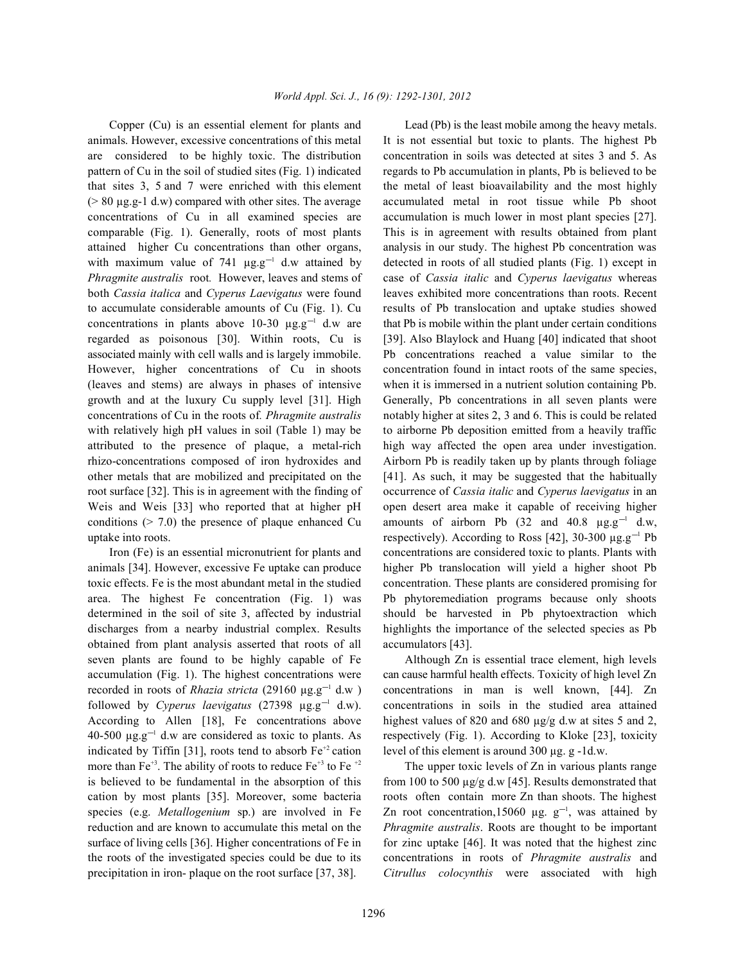animals. However, excessive concentrations of this metal It is not essential but toxic to plants. The highest Pb are considered to be highly toxic. The distribution concentration in soils was detected at sites 3 and 5. As pattern of Cu in the soil of studied sites (Fig. 1) indicated regards to Pb accumulation in plants, Pb is believed to be that sites 3, 5 and 7 were enriched with this element the metal of least bioavailability and the most highly (> 80 µg.g-1 d.w) compared with other sites. The average accumulated metal in root tissue while Pb shoot concentrations of Cu in all examined species are accumulation is much lower in most plant species [27]. comparable (Fig. 1). Generally, roots of most plants This is in agreement with results obtained from plant attained higher Cu concentrations than other organs, analysis in our study. The highest Pb concentration was with maximum value of 741  $\mu$ g.g<sup>-1</sup> d.w attained by detected in roots of all studied plants (Fig. 1) except in *Phragmite australis* root*.* However, leaves and stems of case of *Cassia italic* and *Cyperus laevigatus* whereas both *Cassia italica* and *Cyperus Laevigatus* were found leaves exhibited more concentrations than roots. Recent to accumulate considerable amounts of Cu (Fig. 1). Cu results of Pb translocation and uptake studies showed concentrations in plants above 10-30  $\mu$ g.g<sup>-1</sup> d.w are that Pb is mobile within the plant under certain conditions regarded as poisonous [30]. Within roots, Cu is [39]. Also Blaylock and Huang [40] indicated that shoot associated mainly with cell walls and is largely immobile. Pb concentrations reached a value similar to the However, higher concentrations of Cu in shoots concentration found in intact roots of the same species, (leaves and stems) are always in phases of intensive when it is immersed in a nutrient solution containing Pb. growth and at the luxury Cu supply level [31]. High Generally, Pb concentrations in all seven plants were concentrations of Cu in the roots of*. Phragmite australis* notably higher at sites 2, 3 and 6. This is could be related with relatively high pH values in soil (Table 1) may be to airborne Pb deposition emitted from a heavily traffic attributed to the presence of plaque, a metal-rich high way affected the open area under investigation. rhizo-concentrations composed of iron hydroxides and Airborn Pb is readily taken up by plants through foliage other metals that are mobilized and precipitated on the [41]. As such, it may be suggested that the habitually root surface [32]. This is in agreement with the finding of occurrence of *Cassia italic* and *Cyperus laevigatus* in an Weis and Weis [33] who reported that at higher pH open desert area make it capable of receiving higher conditions ( $> 7.0$ ) the presence of plaque enhanced Cu amounts of airborn Pb (32 and 40.8  $\mu$ g.g<sup>-1</sup> d.w.

animals [34]. However, excessive Fe uptake can produce higher Pb translocation will yield a higher shoot Pb toxic effects. Fe is the most abundant metal in the studied concentration. These plants are considered promising for area. The highest Fe concentration (Fig. 1) was Pb phytoremediation programs because only shoots determined in the soil of site 3, affected by industrial should be harvested in Pb phytoextraction which discharges from a nearby industrial complex. Results highlights the importance of the selected species as Pb obtained from plant analysis asserted that roots of all accumulators [43]. seven plants are found to be highly capable of Fe Although Zn is essential trace element, high levels accumulation (Fig. 1). The highest concentrations were can cause harmful health effects. Toxicity of high level Zn recorded in roots of *Rhazia stricta* (29160  $\mu$ g.g<sup>-1</sup> d.w ) concentrations in man is well known, [44]. Zn followed by *Cyperus laevigatus* (27398  $\mu$ g.g<sup>-1</sup> d.w). concentrations in soils in the studied area attained According to Allen [18], Fe concentrations above highest values of 820 and 680 µg/g d.w at sites 5 and 2, 40-500  $\mu$ g.g<sup>-1</sup> d.w are considered as toxic to plants. As respectively (Fig. 1). According to Kloke [23], toxicity indicated by Tiffin [31], roots tend to absorb  $Fe^{+2}$  cation level of this element is around 300 µg. g -1d.w. more than Fe<sup>+3</sup>. The ability of roots to reduce Fe<sup>+3</sup> to Fe<sup>+2</sup> The upper toxic levels of Zn in various plants range is believed to be fundamental in the absorption of this from 100 to 500  $\mu$ g/g d.w [45]. Results demonstrated that cation by most plants [35]. Moreover, some bacteria roots often contain more Zn than shoots. The highest species (e.g. *Metallogenium* sp.) are involved in Fe Zn root concentration,15060  $\mu$ g. g<sup>-1</sup>, was attained by reduction and are known to accumulate this metal on the *Phragmite australis*. Roots are thought to be important surface of living cells [36]. Higher concentrations of Fe in for zinc uptake [46]. It was noted that the highest zinc the roots of the investigated species could be due to its concentrations in roots of *Phragmite australis* and precipitation in iron- plaque on the root surface [37, 38]. *Citrullus colocynthis* were associated with high

Copper (Cu) is an essential element for plants and Lead (Pb) is the least mobile among the heavy metals. uptake into roots. The respectively). According to Ross  $[42]$ ,  $30-300 \mu g.g^{-1}$  Pb Iron (Fe) is an essential micronutrient for plants and concentrations are considered toxic to plants. Plants with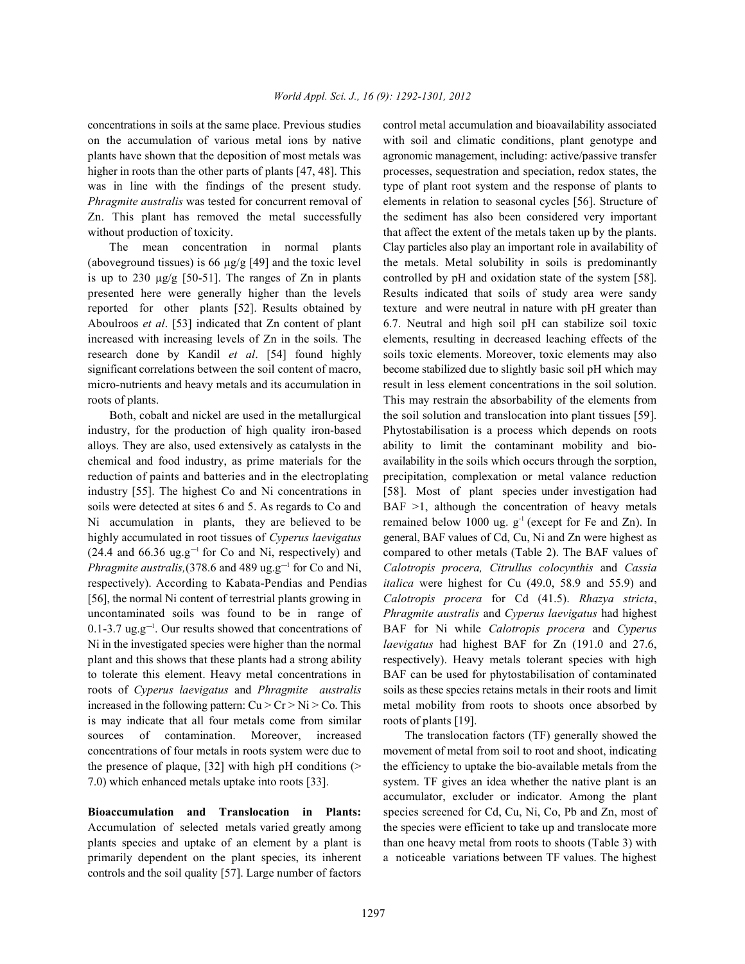on the accumulation of various metal ions by native with soil and climatic conditions, plant genotype and plants have shown that the deposition of most metals was agronomic management, including: active/passive transfer higher in roots than the other parts of plants [47, 48]. This processes, sequestration and speciation, redox states, the was in line with the findings of the present study. type of plant root system and the response of plants to *Phragmite australis* was tested for concurrent removal of elements in relation to seasonal cycles [56]. Structure of Zn. This plant has removed the metal successfully the sediment has also been considered very important without production of toxicity. that affect the extent of the metals taken up by the plants.

(aboveground tissues) is 66  $\mu$ g/g [49] and the toxic level the metals. Metal solubility in soils is predominantly is up to 230  $\mu$ g/g [50-51]. The ranges of Zn in plants controlled by pH and oxidation state of the system [58]. presented here were generally higher than the levels Results indicated that soils of study area were sandy reported for other plants [52]. Results obtained by texture and were neutral in nature with pH greater than Aboulroos *et al*. [53] indicated that Zn content of plant 6.7. Neutral and high soil pH can stabilize soil toxic increased with increasing levels of Zn in the soils. The elements, resulting in decreased leaching effects of the research done by Kandil *et al*. [54] found highly soils toxic elements. Moreover, toxic elements may also significant correlations between the soil content of macro, become stabilized due to slightly basic soil pH which may micro-nutrients and heavy metals and its accumulation in result in less element concentrations in the soil solution. roots of plants. This may restrain the absorbability of the elements from

industry, for the production of high quality iron-based Phytostabilisation is a process which depends on roots alloys. They are also, used extensively as catalysts in the ability to limit the contaminant mobility and biochemical and food industry, as prime materials for the availability in the soils which occurs through the sorption, reduction of paints and batteries and in the electroplating precipitation, complexation or metal valance reduction industry [55]. The highest Co and Ni concentrations in [58]. Most of plant species under investigation had soils were detected at sites 6 and 5. As regards to Co and BAF  $>1$ , although the concentration of heavy metals Ni accumulation in plants, they are believed to be remained below 1000 ug.  $g<sup>-1</sup>$  (except for Fe and Zn). In highly accumulated in root tissues of *Cyperus laevigatus* general, BAF values of Cd, Cu, Ni and Zn were highest as  $(24.4 \text{ and } 66.36 \text{ ug}. \text{g}^{-1}$  for Co and Ni, respectively) and compared to other metals (Table 2). The BAF values of *Phragmite australis,*(378.6 and 489 ug.g<sup>-1</sup> for Co and Ni, *Calotropis procera, Citrullus colocynthis* and *Cassia* respectively). According to Kabata-Pendias and Pendias *italica* were highest for Cu (49.0, 58.9 and 55.9) and [56], the normal Ni content of terrestrial plants growing in *Calotropis procera* for Cd (41.5). *Rhazya stricta*, uncontaminated soils was found to be in range of *Phragmite australis* and *Cyperus laevigatus* had highest 0.1-3.7 ug.g<sup>-1</sup>. Our results showed that concentrations of BAF for Ni while *Calotropis procera* and *Cyperus* Ni in the investigated species were higher than the normal *laevigatus* had highest BAF for Zn (191.0 and 27.6, plant and this shows that these plants had a strong ability respectively). Heavy metals tolerant species with high to tolerate this element. Heavy metal concentrations in BAF can be used for phytostabilisation of contaminated roots of *Cyperus laevigatus* and *Phragmite australis* soils as these species retains metals in their roots and limit increased in the following pattern:  $Cu > Cr > Ni > Co$ . This metal mobility from roots to shoots once absorbed by is may indicate that all four metals come from similar roots of plants [19]. sources of contamination. Moreover, increased The translocation factors (TF) generally showed the concentrations of four metals in roots system were due to movement of metal from soil to root and shoot, indicating the presence of plaque,  $[32]$  with high pH conditions ( $>$  the efficiency to uptake the bio-available metals from the 7.0) which enhanced metals uptake into roots [33]. system. TF gives an idea whether the native plant is an

Accumulation of selected metals varied greatly among the species were efficient to take up and translocate more plants species and uptake of an element by a plant is than one heavy metal from roots to shoots (Table 3) with primarily dependent on the plant species, its inherent a noticeable variations between TF values. The highest controls and the soil quality [57]. Large number of factors

concentrations in soils at the same place. Previous studies control metal accumulation and bioavailability associated The mean concentration in normal plants Clay particles also play an important role in availability of Both, cobalt and nickel are used in the metallurgical the soil solution and translocation into plant tissues [59].

**Bioaccumulation and Translocation in Plants:** species screened for Cd, Cu, Ni, Co, Pb and Zn, most of accumulator, excluder or indicator. Among the plant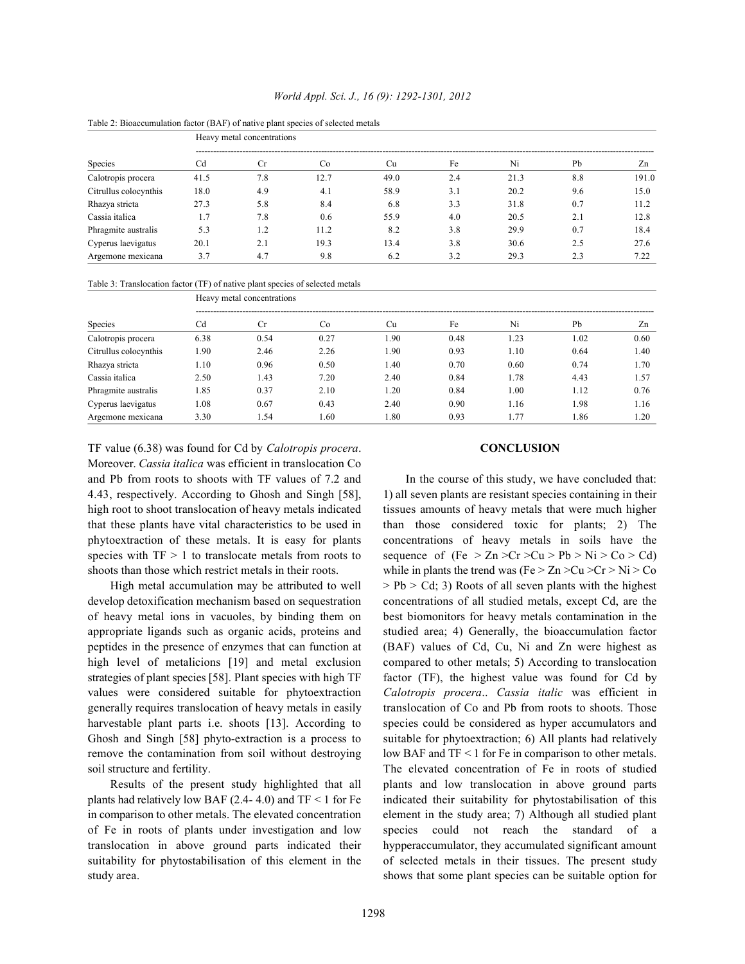| Species               | Heavy metal concentrations |     |      |      |     |      |     |       |  |  |
|-----------------------|----------------------------|-----|------|------|-----|------|-----|-------|--|--|
|                       | Cd                         | Cr  | Co.  | Cu   | Fe  | Ni   | Pb  | Zn    |  |  |
| Calotropis procera    | 41.5                       | 7.8 | 12.7 | 49.0 | 2.4 | 21.3 | 8.8 | 191.0 |  |  |
| Citrullus colocynthis | 18.0                       | 4.9 | 4.1  | 58.9 | 3.1 | 20.2 | 9.6 | 15.0  |  |  |
| Rhazya stricta        | 27.3                       | 5.8 | 8.4  | 6.8  | 3.3 | 31.8 | 0.7 | 11.2  |  |  |
| Cassia italica        | 1.7                        | 7.8 | 0.6  | 55.9 | 4.0 | 20.5 | 2.1 | 12.8  |  |  |
| Phragmite australis   | 5.3                        | 1.2 | 11.2 | 8.2  | 3.8 | 29.9 | 0.7 | 18.4  |  |  |
| Cyperus laevigatus    | 20.1                       | 2.1 | 19.3 | 13.4 | 3.8 | 30.6 | 2.5 | 27.6  |  |  |
| Argemone mexicana     | 3.7                        | 4.7 | 9.8  | 6.2  | 3.2 | 29.3 | 2.3 | 7.22  |  |  |

## *World Appl. Sci. J., 16 (9): 1292-1301, 2012*



Table 3: Translocation factor (TF) of native plant species of selected metals

| Species               | Heavy metal concentrations |           |      |      |      |      |      |      |  |  |
|-----------------------|----------------------------|-----------|------|------|------|------|------|------|--|--|
|                       | Cd                         | <b>Cr</b> | Co   | Cu   | Fe   | Ni   | Pb   | Zn   |  |  |
| Calotropis procera    | 6.38                       | 0.54      | 0.27 | 1.90 | 0.48 | 1.23 | 1.02 | 0.60 |  |  |
| Citrullus colocynthis | . 90                       | 2.46      | 2.26 | 1.90 | 0.93 | 1.10 | 0.64 | 1.40 |  |  |
| Rhazya stricta        | 1.10                       | 0.96      | 0.50 | 1.40 | 0.70 | 0.60 | 0.74 | 1.70 |  |  |
| Cassia italica        | 2.50                       | 1.43      | 7.20 | 2.40 | 0.84 | 1.78 | 4.43 | 1.57 |  |  |
| Phragmite australis   | 1.85                       | 0.37      | 2.10 | 1.20 | 0.84 | 1.00 | 1.12 | 0.76 |  |  |
| Cyperus laevigatus    | 1.08                       | 0.67      | 0.43 | 2.40 | 0.90 | 1.16 | 1.98 | 1.16 |  |  |
| Argemone mexicana     | 3.30                       | l.54      | 1.60 | 1.80 | 0.93 | .77  | 1.86 | 1.20 |  |  |

TF value (6.38) was found for Cd by *Calotropis procera*. **CONCLUSION** Moreover. *Cassia italica* was efficient in translocation Co and Pb from roots to shoots with TF values of 7.2 and In the course of this study, we have concluded that: 4.43, respectively. According to Ghosh and Singh [58], 1) all seven plants are resistant species containing in their high root to shoot translocation of heavy metals indicated tissues amounts of heavy metals that were much higher that these plants have vital characteristics to be used in than those considered toxic for plants; 2) The phytoextraction of these metals. It is easy for plants concentrations of heavy metals in soils have the species with  $TF > 1$  to translocate metals from roots to sequence of (Fe  $\geq Zn \geq Cr \geq Cu \geq Pb \geq Ni \geq Co \geq Cd$ )

develop detoxification mechanism based on sequestration concentrations of all studied metals, except Cd, are the of heavy metal ions in vacuoles, by binding them on best biomonitors for heavy metals contamination in the appropriate ligands such as organic acids, proteins and studied area; 4) Generally, the bioaccumulation factor peptides in the presence of enzymes that can function at (BAF) values of Cd, Cu, Ni and Zn were highest as high level of metalicions [19] and metal exclusion compared to other metals; 5) According to translocation strategies of plant species [58]. Plant species with high TF factor (TF), the highest value was found for Cd by values were considered suitable for phytoextraction *Calotropis procera*.. *Cassia italic* was efficient in generally requires translocation of heavy metals in easily translocation of Co and Pb from roots to shoots. Those harvestable plant parts i.e. shoots [13]. According to species could be considered as hyper accumulators and Ghosh and Singh [58] phyto-extraction is a process to suitable for phytoextraction; 6) All plants had relatively remove the contamination from soil without destroying low BAF and  $TF < 1$  for Fe in comparison to other metals. soil structure and fertility. The elevated concentration of Fe in roots of studied

plants had relatively low BAF (2.4-4.0) and  $TF < 1$  for Fe indicated their suitability for phytostabilisation of this in comparison to other metals. The elevated concentration element in the study area; 7) Although all studied plant of Fe in roots of plants under investigation and low species could not reach the standard of a translocation in above ground parts indicated their hypperaccumulator, they accumulated significant amount suitability for phytostabilisation of this element in the of selected metals in their tissues. The present study study area. shows that some plant species can be suitable option for

shoots than those which restrict metals in their roots. while in plants the trend was (Fe  $> Zn > Cu > Cr > Ni > Co$ High metal accumulation may be attributed to well  $\Rightarrow$  Pb  $>$  Cd; 3) Roots of all seven plants with the highest Results of the present study highlighted that all plants and low translocation in above ground parts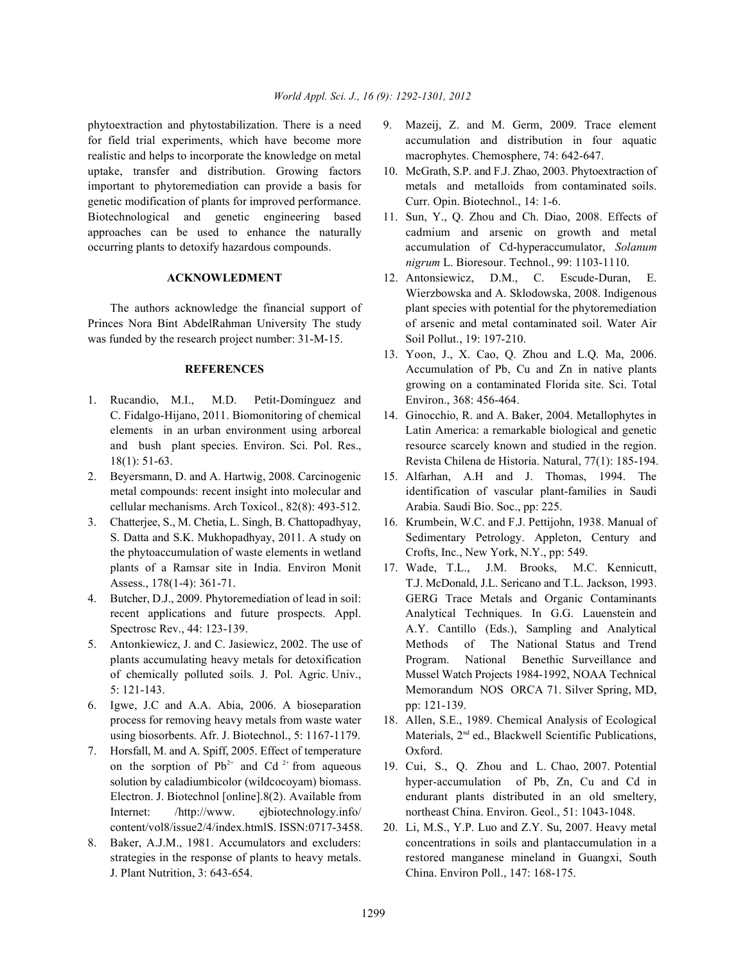phytoextraction and phytostabilization. There is a need 9. Mazeij, Z. and M. Germ, 2009. Trace element for field trial experiments, which have become more accumulation and distribution in four aquatic realistic and helps to incorporate the knowledge on metal macrophytes. Chemosphere, 74: 642-647. uptake, transfer and distribution. Growing factors 10. McGrath, S.P. and F.J. Zhao, 2003. Phytoextraction of important to phytoremediation can provide a basis for metals and metalloids from contaminated soils. genetic modification of plants for improved performance. Curr. Opin. Biotechnol., 14: 1-6. Biotechnological and genetic engineering based 11. Sun, Y., Q. Zhou and Ch. Diao, 2008. Effects of

Princes Nora Bint AbdelRahman University The study of arsenic and metal contaminated soil. Water Air was funded by the research project number:  $31-M-15$ . Soil Pollut., 19: 197-210.

- 1. Rucandio, M.I., M.D. Petit-Domínguez and Environ., 368: 456-464. C. Fidalgo-Hijano, 2011. Biomonitoring of chemical 14. Ginocchio, R. and A. Baker, 2004. Metallophytes in
- cellular mechanisms. Arch Toxicol., 82(8): 493-512. Arabia. Saudi Bio. Soc., pp: 225.
- 3. Chatterjee, S., M. Chetia, L. Singh, B. Chattopadhyay, 16. Krumbein, W.C. and F.J. Pettijohn, 1938. Manual of the phytoaccumulation of waste elements in wetland Crofts, Inc., New York, N.Y., pp: 549.
- 
- 
- 6. Igwe, J.C and A.A. Abia, 2006. A bioseparation pp: 121-139.
- 7. Horsfall, M. and A. Spiff, 2005. Effect of temperature Oxford. on the sorption of  $Pb^{2+}$  and Cd<sup>2+</sup> from aqueous 19. Cui, S., Q. Zhou and L. Chao, 2007. Potential Internet: /http://www. ejbiotechnology.info/ northeast China. Environ. Geol., 51: 1043-1048.
- J. Plant Nutrition, 3: 643-654. China. Environ Poll., 147: 168-175.
- 
- 
- approaches can be used to enhance the naturally cadmium and arsenic on growth and metal occurring plants to detoxify hazardous compounds. accumulation of Cd-hyperaccumulator, *Solanum nigrum* L. Bioresour. Technol., 99: 1103-1110.
	- **ACKNOWLEDMENT** 12. Antonsiewicz, D.M., C. Escude-Duran, E. The authors acknowledge the financial support of plant species with potential for the phytoremediation Wierzbowska and A. Sklodowska, 2008. Indigenous
		- **REFERENCES** Accumulation of Pb, Cu and Zn in native plants 13. Yoon, J., X. Cao, Q. Zhou and L.Q. Ma, 2006. growing on a contaminated Florida site. Sci. Total
	- elements in an urban environment using arboreal Latin America: a remarkable biological and genetic and bush plant species. Environ. Sci. Pol. Res., resource scarcely known and studied in the region. 18(1): 51-63. Revista Chilena de Historia. Natural, 77(1): 185-194.
- 2. Beyersmann, D. and A. Hartwig, 2008. Carcinogenic 15. Alfarhan, A.H and J. Thomas, 1994. The metal compounds: recent insight into molecular and identification of vascular plant-families in Saudi
	- S. Datta and S.K. Mukhopadhyay, 2011. A study on Sedimentary Petrology. Appleton, Century and
- plants of a Ramsar site in India. Environ Monit 17. Wade, T.L., J.M. Brooks, M.C. Kennicutt, Assess., 178(1-4): 361-71. T.J. McDonald, J.L. Sericano and T.L. Jackson, 1993. 4. Butcher, D.J., 2009. Phytoremediation of lead in soil: GERG Trace Metals and Organic Contaminants recent applications and future prospects. Appl. Analytical Techniques. In G.G. Lauenstein and Spectrosc Rev., 44: 123-139. **A.Y.** Cantillo (Eds.), Sampling and Analytical 5. Antonkiewicz, J. and C. Jasiewicz, 2002. The use of Methods of The National Status and Trend plants accumulating heavy metals for detoxification Program. National Benethic Surveillance and of chemically polluted soils. J. Pol. Agric. Univ., Mussel Watch Projects 1984-1992, NOAA Technical 5: 121-143. Memorandum NOS ORCA 71. Silver Spring, MD,
	- process for removing heavy metals from waste water 18. Allen, S.E., 1989. Chemical Analysis of Ecological using biosorbents. Afr. J. Biotechnol., 5: 1167-1179. Materials,  $2<sup>nd</sup>$  ed., Blackwell Scientific Publications,
	- solution by caladiumbicolor (wildcocoyam) biomass. hyper-accumulation of Pb, Zn, Cu and Cd in Electron. J. Biotechnol [online].8(2). Available from endurant plants distributed in an old smeltery,
- content/vol8/issue2/4/index.htmlS. ISSN:0717-3458. 20. Li, M.S., Y.P. Luo and Z.Y. Su, 2007. Heavy metal 8. Baker, A.J.M., 1981. Accumulators and excluders: concentrations in soils and plantaccumulation in a strategies in the response of plants to heavy metals. The restored manganese mineland in Guangxi, South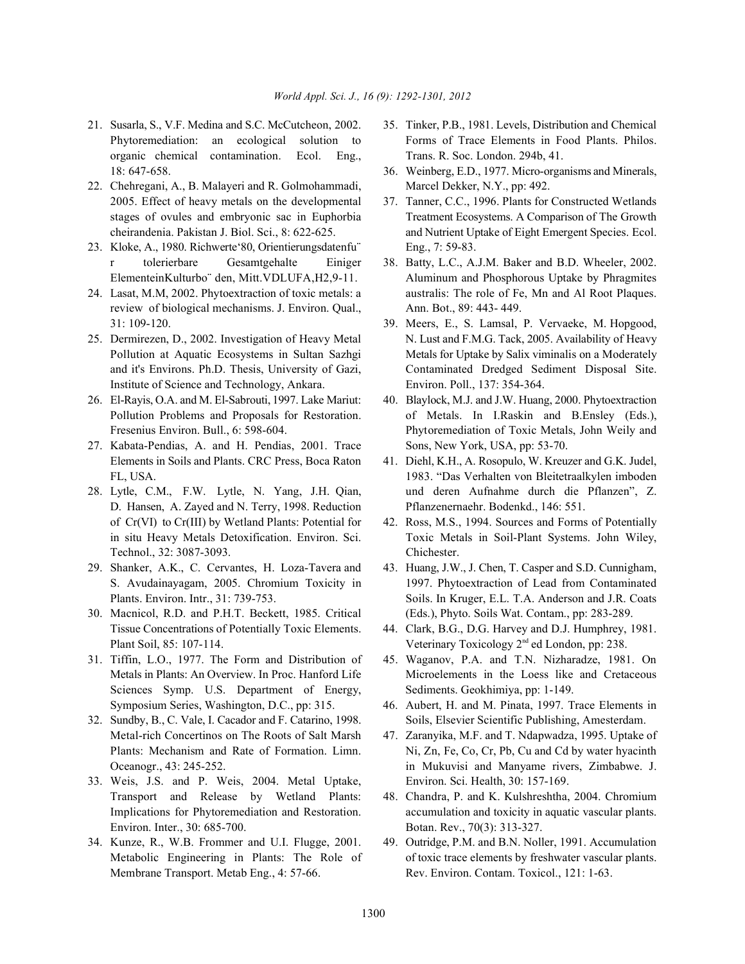- organic chemical contamination. Ecol. Eng., Trans. R. Soc. London. 294b, 41.
- 22. Chehregani, A., B. Malayeri and R. Golmohammadi, Marcel Dekker, N.Y., pp: 492. 2005. Effect of heavy metals on the developmental 37. Tanner, C.C., 1996. Plants for Constructed Wetlands
- 23. Kloke, A., 1980. Richwerte'80, Orientierungsdatenfu¨ Eng., 7: 59-83. r tolerierbare Gesamtgehalte Einiger 38. Batty, L.C., A.J.M. Baker and B.D. Wheeler, 2002.
- 24. Lasat, M.M, 2002. Phytoextraction of toxic metals: a australis: The role of Fe, Mn and Al Root Plaques. review of biological mechanisms. J. Environ. Qual., Ann. Bot., 89: 443- 449.
- Institute of Science and Technology, Ankara. Environ. Poll., 137: 354-364.
- 26. El-Rayis, O.A. and M. El-Sabrouti, 1997. Lake Mariut: 40. Blaylock, M.J. and J.W. Huang, 2000. Phytoextraction
- 27. Kabata-Pendias, A. and H. Pendias, 2001. Trace Sons, New York, USA, pp: 53-70. Elements in Soils and Plants. CRC Press, Boca Raton 41. Diehl, K.H., A. Rosopulo, W. Kreuzer and G.K. Judel,
- D. Hansen, A. Zayed and N. Terry, 1998. Reduction Pflanzenernaehr. Bodenkd., 146: 551. of Cr(VI) to Cr(III) by Wetland Plants: Potential for 42. Ross, M.S., 1994. Sources and Forms of Potentially Technol., 32: 3087-3093. Chichester.
- 29. Shanker, A.K., C. Cervantes, H. Loza-Tavera and 43. Huang, J.W., J. Chen, T. Casper and S.D. Cunnigham,
- 30. Macnicol, R.D. and P.H.T. Beckett, 1985. Critical (Eds.), Phyto. Soils Wat. Contam., pp: 283-289. Tissue Concentrations of Potentially Toxic Elements. 44. Clark, B.G., D.G. Harvey and D.J. Humphrey, 1981.
- 31. Tiffin, L.O., 1977. The Form and Distribution of 45. Waganov, P.A. and T.N. Nizharadze, 1981. On Sciences Symp. U.S. Department of Energy, Sediments. Geokhimiya, pp: 1-149. Symposium Series, Washington, D.C., pp: 315. 46. Aubert, H. and M. Pinata, 1997. Trace Elements in
- Metal-rich Concertinos on The Roots of Salt Marsh 47. Zaranyika, M.F. and T. Ndapwadza, 1995. Uptake of
- 33. Weis, J.S. and P. Weis, 2004. Metal Uptake, Environ. Sci. Health, 30: 157-169. Environ. Inter., 30: 685-700. Botan. Rev., 70(3): 313-327.
- 34. Kunze, R., W.B. Frommer and U.I. Flugge, 2001. 49. Outridge, P.M. and B.N. Noller, 1991. Accumulation Membrane Transport. Metab Eng., 4: 57-66. Rev. Environ. Contam. Toxicol., 121: 1-63.
- 21. Susarla, S., V.F. Medina and S.C. McCutcheon, 2002. 35. Tinker, P.B., 1981. Levels, Distribution and Chemical Phytoremediation: an ecological solution to Forms of Trace Elements in Food Plants. Philos.
	- 18: 647-658. 36. Weinberg, E.D., 1977. Micro-organisms and Minerals,
	- stages of ovules and embryonic sac in Euphorbia Treatment Ecosystems. A Comparison of The Growth cheirandenia. Pakistan J. Biol. Sci., 8: 622-625. and Nutrient Uptake of Eight Emergent Species. Ecol.
	- ElementeinKulturbo¨ den, Mitt.VDLUFA,H2,9-11. Aluminum and Phosphorous Uptake by Phragmites
- 31: 109-120. 39. Meers, E., S. Lamsal, P. Vervaeke, M. Hopgood, 25. Dermirezen, D., 2002. Investigation of Heavy Metal N. Lust and F.M.G. Tack, 2005. Availability of Heavy Pollution at Aquatic Ecosystems in Sultan Sazhgi Metals for Uptake by Salix viminalis on a Moderately and it's Environs. Ph.D. Thesis, University of Gazi, Contaminated Dredged Sediment Disposal Site.
	- Pollution Problems and Proposals for Restoration. of Metals. In I.Raskin and B.Ensley (Eds.), Fresenius Environ. Bull., 6: 598-604. Phytoremediation of Toxic Metals, John Weily and
- FL, USA. 1983. "Das Verhalten von Bleitetraalkylen imboden 28. Lytle, C.M., F.W. Lytle, N. Yang, J.H. Qian, und deren Aufnahme durch die Pflanzen", Z.
	- in situ Heavy Metals Detoxification. Environ. Sci. Toxic Metals in Soil-Plant Systems. John Wiley,
	- S. Avudainayagam, 2005. Chromium Toxicity in 1997. Phytoextraction of Lead from Contaminated Plants. Environ. Intr., 31: 739-753. Soils. In Kruger, E.L. T.A. Anderson and J.R. Coats
	- Plant Soil, 85: 107-114. Veterinary Toxicology 2<sup>nd</sup> ed London, pp: 238.
	- Metals in Plants: An Overview. In Proc. Hanford Life Microelements in the Loess like and Cretaceous
- 32. Sundby, B., C. Vale, I. Cacador and F. Catarino, 1998. Soils, Elsevier Scientific Publishing, Amesterdam.
	- Plants: Mechanism and Rate of Formation. Limn. Ni, Zn, Fe, Co, Cr, Pb, Cu and Cd by water hyacinth Oceanogr., 43: 245-252. in Mukuvisi and Manyame rivers, Zimbabwe. J.
	- Transport and Release by Wetland Plants: 48. Chandra, P. and K. Kulshreshtha, 2004. Chromium Implications for Phytoremediation and Restoration. accumulation and toxicity in aquatic vascular plants.
	- Metabolic Engineering in Plants: The Role of of toxic trace elements by freshwater vascular plants.